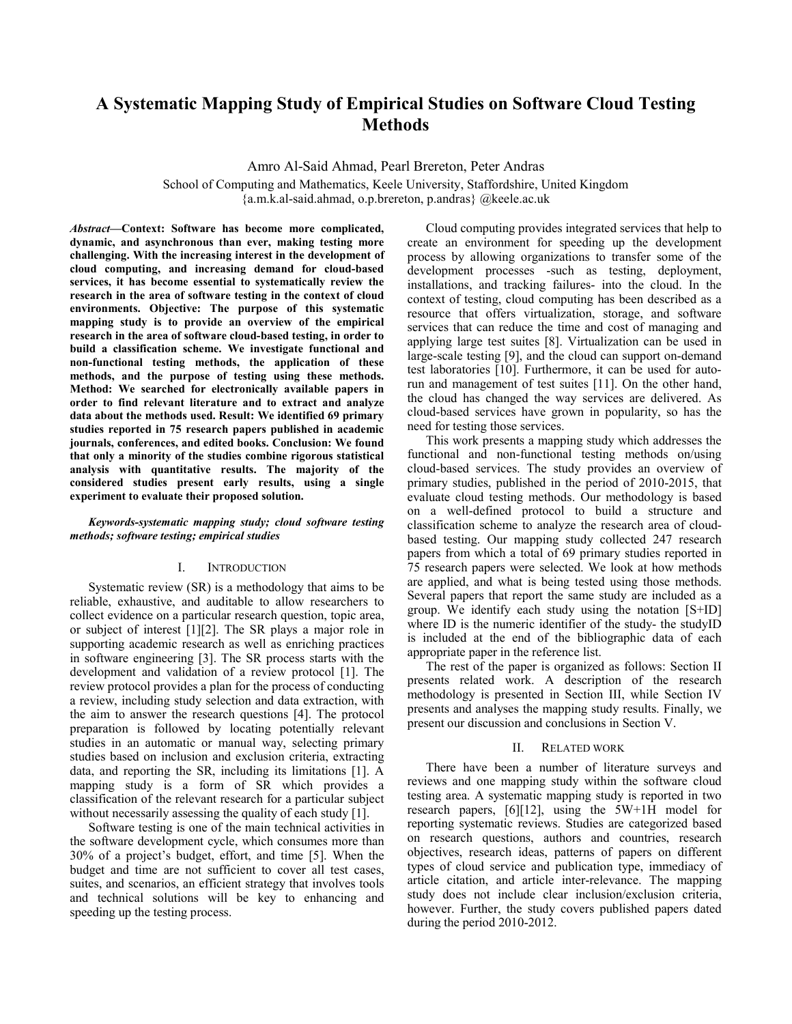# **A Systematic Mapping Study of Empirical Studies on Software Cloud Testing Methods**

Amro Al-Said Ahmad, Pearl Brereton, Peter Andras

School of Computing and Mathematics, Keele University, Staffordshire, United Kingdom {a.m.k.al-said.ahmad, o.p.brereton, p.andras} @keele.ac.uk

*Abstract***—Context: Software has become more complicated, dynamic, and asynchronous than ever, making testing more challenging. With the increasing interest in the development of cloud computing, and increasing demand for cloud-based services, it has become essential to systematically review the research in the area of software testing in the context of cloud environments. Objective: The purpose of this systematic mapping study is to provide an overview of the empirical research in the area of software cloud-based testing, in order to build a classification scheme. We investigate functional and non-functional testing methods, the application of these methods, and the purpose of testing using these methods. Method: We searched for electronically available papers in order to find relevant literature and to extract and analyze data about the methods used. Result: We identified 69 primary studies reported in 75 research papers published in academic journals, conferences, and edited books. Conclusion: We found that only a minority of the studies combine rigorous statistical analysis with quantitative results. The majority of the considered studies present early results, using a single experiment to evaluate their proposed solution.** 

*Keywords-systematic mapping study; cloud software testing methods; software testing; empirical studies* 

## I. INTRODUCTION

Systematic review (SR) is a methodology that aims to be reliable, exhaustive, and auditable to allow researchers to collect evidence on a particular research question, topic area, or subject of interest [1][2]. The SR plays a major role in supporting academic research as well as enriching practices in software engineering [3]. The SR process starts with the development and validation of a review protocol [1]. The review protocol provides a plan for the process of conducting a review, including study selection and data extraction, with the aim to answer the research questions [4]. The protocol preparation is followed by locating potentially relevant studies in an automatic or manual way, selecting primary studies based on inclusion and exclusion criteria, extracting data, and reporting the SR, including its limitations [1]. A mapping study is a form of SR which provides a classification of the relevant research for a particular subject without necessarily assessing the quality of each study [1].

Software testing is one of the main technical activities in the software development cycle, which consumes more than 30% of a project's budget, effort, and time [5]. When the budget and time are not sufficient to cover all test cases, suites, and scenarios, an efficient strategy that involves tools and technical solutions will be key to enhancing and speeding up the testing process.

Cloud computing provides integrated services that help to create an environment for speeding up the development process by allowing organizations to transfer some of the development processes -such as testing, deployment, installations, and tracking failures- into the cloud. In the context of testing, cloud computing has been described as a resource that offers virtualization, storage, and software services that can reduce the time and cost of managing and applying large test suites [8]. Virtualization can be used in large-scale testing [9], and the cloud can support on-demand test laboratories [10]. Furthermore, it can be used for autorun and management of test suites [11]. On the other hand, the cloud has changed the way services are delivered. As cloud-based services have grown in popularity, so has the need for testing those services.

This work presents a mapping study which addresses the functional and non-functional testing methods on/using cloud-based services. The study provides an overview of primary studies, published in the period of 2010-2015, that evaluate cloud testing methods. Our methodology is based on a well-defined protocol to build a structure and classification scheme to analyze the research area of cloudbased testing. Our mapping study collected 247 research papers from which a total of 69 primary studies reported in 75 research papers were selected. We look at how methods are applied, and what is being tested using those methods. Several papers that report the same study are included as a group. We identify each study using the notation [S+ID] where ID is the numeric identifier of the study- the studyID is included at the end of the bibliographic data of each appropriate paper in the reference list.

The rest of the paper is organized as follows: Section II presents related work. A description of the research methodology is presented in Section III, while Section IV presents and analyses the mapping study results. Finally, we present our discussion and conclusions in Section V.

#### II. RELATED WORK

There have been a number of literature surveys and reviews and one mapping study within the software cloud testing area. A systematic mapping study is reported in two research papers, [6][12], using the 5W+1H model for reporting systematic reviews. Studies are categorized based on research questions, authors and countries, research objectives, research ideas, patterns of papers on different types of cloud service and publication type, immediacy of article citation, and article inter-relevance. The mapping study does not include clear inclusion/exclusion criteria, however. Further, the study covers published papers dated during the period 2010-2012.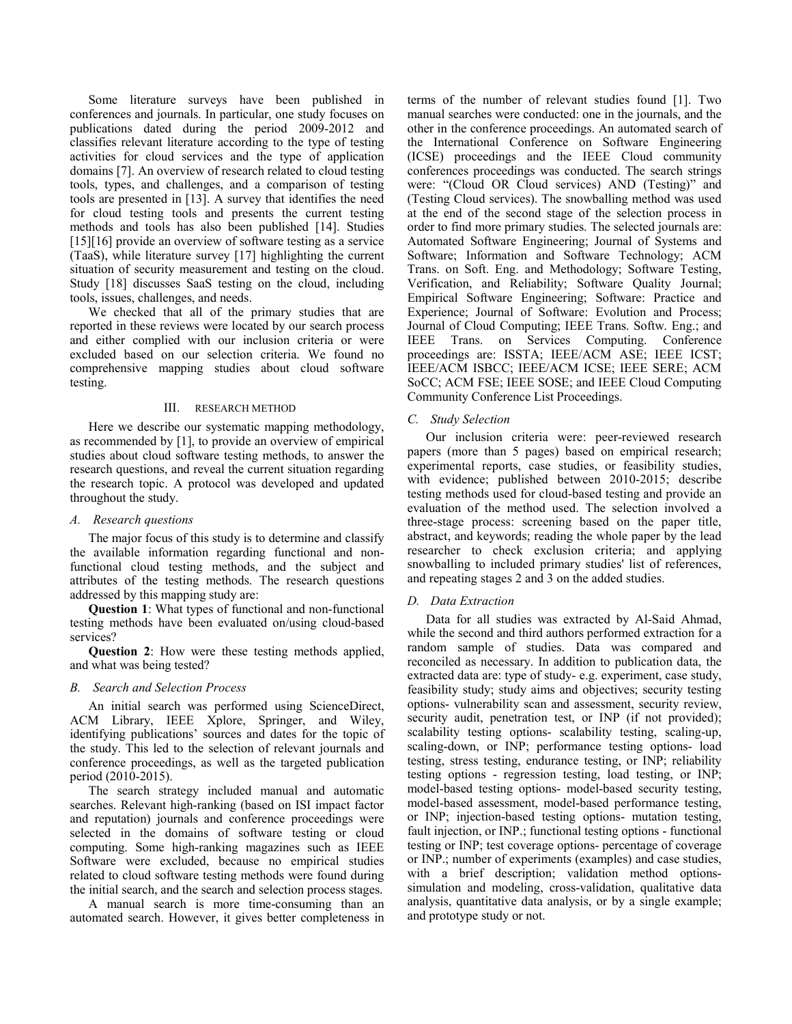Some literature surveys have been published in conferences and journals. In particular, one study focuses on publications dated during the period 2009-2012 and classifies relevant literature according to the type of testing activities for cloud services and the type of application domains [7]. An overview of research related to cloud testing tools, types, and challenges, and a comparison of testing tools are presented in [13]. A survey that identifies the need for cloud testing tools and presents the current testing methods and tools has also been published [14]. Studies [15][16] provide an overview of software testing as a service (TaaS), while literature survey [17] highlighting the current situation of security measurement and testing on the cloud. Study [18] discusses SaaS testing on the cloud, including tools, issues, challenges, and needs.

We checked that all of the primary studies that are reported in these reviews were located by our search process and either complied with our inclusion criteria or were excluded based on our selection criteria. We found no comprehensive mapping studies about cloud software testing.

#### III. RESEARCH METHOD

Here we describe our systematic mapping methodology, as recommended by [1], to provide an overview of empirical studies about cloud software testing methods, to answer the research questions, and reveal the current situation regarding the research topic. A protocol was developed and updated throughout the study.

## *A. Research questions*

The major focus of this study is to determine and classify the available information regarding functional and nonfunctional cloud testing methods, and the subject and attributes of the testing methods. The research questions addressed by this mapping study are:

**Question 1**: What types of functional and non-functional testing methods have been evaluated on/using cloud-based services?

**Question 2**: How were these testing methods applied, and what was being tested?

## *B. Search and Selection Process*

An initial search was performed using ScienceDirect, ACM Library, IEEE Xplore, Springer, and Wiley, identifying publications' sources and dates for the topic of the study. This led to the selection of relevant journals and conference proceedings, as well as the targeted publication period (2010-2015).

The search strategy included manual and automatic searches. Relevant high-ranking (based on ISI impact factor and reputation) journals and conference proceedings were selected in the domains of software testing or cloud computing. Some high-ranking magazines such as IEEE Software were excluded, because no empirical studies related to cloud software testing methods were found during the initial search, and the search and selection process stages.

A manual search is more time-consuming than an automated search. However, it gives better completeness in terms of the number of relevant studies found [1]. Two manual searches were conducted: one in the journals, and the other in the conference proceedings. An automated search of the International Conference on Software Engineering (ICSE) proceedings and the IEEE Cloud community conferences proceedings was conducted. The search strings were: "(Cloud OR Cloud services) AND (Testing)" and (Testing Cloud services). The snowballing method was used at the end of the second stage of the selection process in order to find more primary studies. The selected journals are: Automated Software Engineering; Journal of Systems and Software; Information and Software Technology; ACM Trans. on Soft. Eng. and Methodology; Software Testing, Verification, and Reliability; Software Quality Journal; Empirical Software Engineering; Software: Practice and Experience; Journal of Software: Evolution and Process; Journal of Cloud Computing; IEEE Trans. Softw. Eng.; and IEEE Trans. on Services Computing. Conference proceedings are: ISSTA; IEEE/ACM ASE; IEEE ICST; IEEE/ACM ISBCC; IEEE/ACM ICSE; IEEE SERE; ACM SoCC; ACM FSE; IEEE SOSE; and IEEE Cloud Computing Community Conference List Proceedings.

## *C. Study Selection*

Our inclusion criteria were: peer-reviewed research papers (more than 5 pages) based on empirical research; experimental reports, case studies, or feasibility studies, with evidence; published between 2010-2015; describe testing methods used for cloud-based testing and provide an evaluation of the method used. The selection involved a three-stage process: screening based on the paper title, abstract, and keywords; reading the whole paper by the lead researcher to check exclusion criteria; and applying snowballing to included primary studies' list of references, and repeating stages 2 and 3 on the added studies.

## *D. Data Extraction*

Data for all studies was extracted by Al-Said Ahmad, while the second and third authors performed extraction for a random sample of studies. Data was compared and reconciled as necessary. In addition to publication data, the extracted data are: type of study- e.g. experiment, case study, feasibility study; study aims and objectives; security testing options- vulnerability scan and assessment, security review, security audit, penetration test, or INP (if not provided); scalability testing options- scalability testing, scaling-up, scaling-down, or INP; performance testing options- load testing, stress testing, endurance testing, or INP; reliability testing options - regression testing, load testing, or INP; model-based testing options- model-based security testing, model-based assessment, model-based performance testing, or INP; injection-based testing options- mutation testing, fault injection, or INP.; functional testing options - functional testing or INP; test coverage options- percentage of coverage or INP.; number of experiments (examples) and case studies, with a brief description; validation method optionssimulation and modeling, cross-validation, qualitative data analysis, quantitative data analysis, or by a single example; and prototype study or not.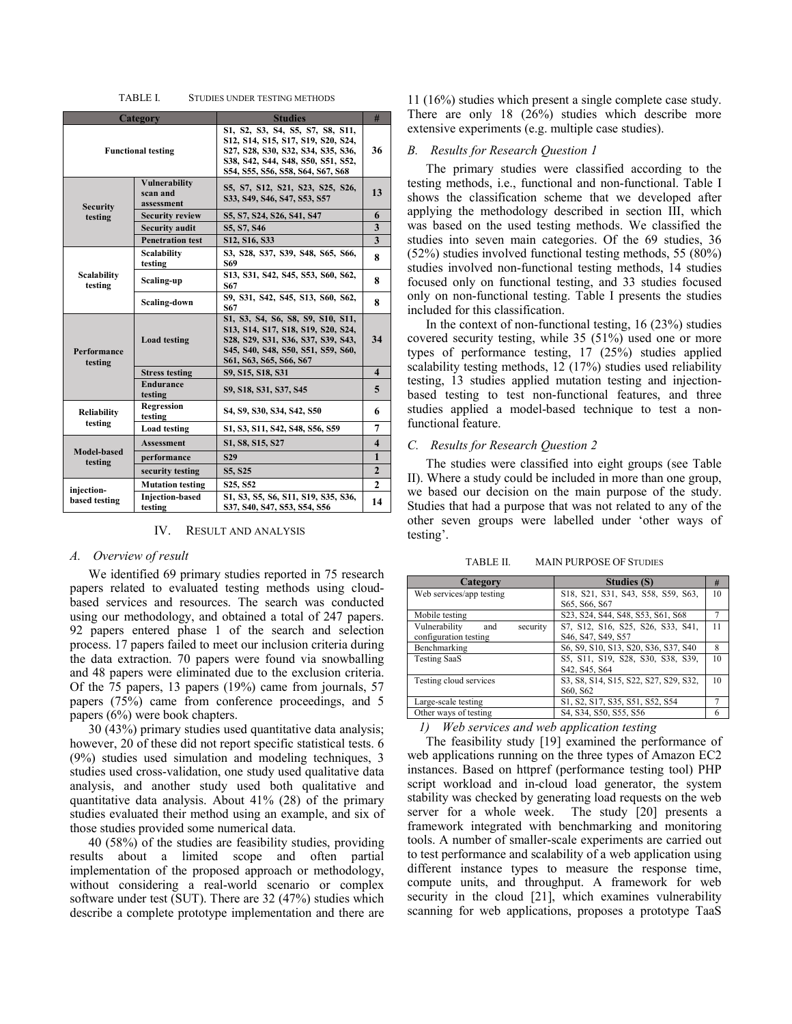TABLE I. STUDIES UNDER TESTING METHODS

| Category                      |                                         | <b>Studies</b>                                                                                                                                                                          | #                       |
|-------------------------------|-----------------------------------------|-----------------------------------------------------------------------------------------------------------------------------------------------------------------------------------------|-------------------------|
| <b>Functional testing</b>     |                                         | S1, S2, S3, S4, S5, S7, S8, S11,<br>S12, S14, S15, S17, S19, S20, S24,<br>S27, S28, S30, S32, S34, S35, S36,<br>S38, S42, S44, S48, S50, S51, S52,<br>S54, S55, S56, S58, S64, S67, S68 | 36                      |
| <b>Security</b><br>testing    | Vulnerability<br>scan and<br>assessment | S5, S7, S12, S21, S23, S25, S26,<br>S33, S49, S46, S47, S53, S57                                                                                                                        | 13                      |
|                               | <b>Security review</b>                  | S5, S7, S24, S26, S41, S47                                                                                                                                                              | 6                       |
|                               | <b>Security audit</b>                   | S5, S7, S46                                                                                                                                                                             | 3                       |
|                               | <b>Penetration test</b>                 | S12, S16, S33                                                                                                                                                                           | 3                       |
| <b>Scalability</b><br>testing | <b>Scalability</b><br>testing           | S3, S28, S37, S39, S48, S65, S66,<br>S69                                                                                                                                                | 8                       |
|                               | Scaling-up                              | S13, S31, S42, S45, S53, S60, S62,<br>S <sub>67</sub>                                                                                                                                   | 8                       |
|                               | Scaling-down                            | S9, S31, S42, S45, S13, S60, S62,<br>S67                                                                                                                                                | 8                       |
| Performance<br>testing        | <b>Load testing</b>                     | S1, S3, S4, S6, S8, S9, S10, S11,<br>S13, S14, S17, S18, S19, S20, S24,<br>S28, S29, S31, S36, S37, S39, S43,<br>S45, S40, S48, S50, S51, S59, S60,<br>S61, S63, S65, S66, S67          | 34                      |
|                               | <b>Stress testing</b>                   | S9, S15, S18, S31                                                                                                                                                                       | $\overline{\mathbf{4}}$ |
|                               | <b>Endurance</b><br>testing             | S9, S18, S31, S37, S45                                                                                                                                                                  | 5                       |
| <b>Reliability</b><br>testing | Regression<br>testing                   | S4, S9, S30, S34, S42, S50                                                                                                                                                              | 6                       |
|                               | <b>Load testing</b>                     | S1, S3, S11, S42, S48, S56, S59                                                                                                                                                         | 7                       |
| <b>Model-based</b><br>testing | <b>Assessment</b>                       | S1, S8, S15, S27                                                                                                                                                                        | $\overline{\mathbf{4}}$ |
|                               | performance                             | S <sub>29</sub>                                                                                                                                                                         | 1                       |
|                               | security testing                        | S5, S25                                                                                                                                                                                 | $\overline{2}$          |
| injection-<br>based testing   | <b>Mutation testing</b>                 | S <sub>25</sub> , S <sub>52</sub>                                                                                                                                                       | 2                       |
|                               | <b>Injection-based</b><br>testing       | S1, S3, S5, S6, S11, S19, S35, S36,<br>S37, S40, S47, S53, S54, S56                                                                                                                     | 14                      |

IV. RESULT AND ANALYSIS

#### *A. Overview of result*

We identified 69 primary studies reported in 75 research papers related to evaluated testing methods using cloudbased services and resources. The search was conducted using our methodology, and obtained a total of 247 papers. 92 papers entered phase 1 of the search and selection process. 17 papers failed to meet our inclusion criteria during the data extraction. 70 papers were found via snowballing and 48 papers were eliminated due to the exclusion criteria. Of the 75 papers, 13 papers (19%) came from journals, 57 papers (75%) came from conference proceedings, and 5 papers (6%) were book chapters.

30 (43%) primary studies used quantitative data analysis; however, 20 of these did not report specific statistical tests. 6 (9%) studies used simulation and modeling techniques, 3 studies used cross-validation, one study used qualitative data analysis, and another study used both qualitative and quantitative data analysis. About 41% (28) of the primary studies evaluated their method using an example, and six of those studies provided some numerical data.

40 (58%) of the studies are feasibility studies, providing results about a limited scope and often partial implementation of the proposed approach or methodology, without considering a real-world scenario or complex software under test (SUT). There are 32 (47%) studies which describe a complete prototype implementation and there are 11 (16%) studies which present a single complete case study. There are only 18 (26%) studies which describe more extensive experiments (e.g. multiple case studies).

#### *B. Results for Research Question 1*

The primary studies were classified according to the testing methods, i.e., functional and non-functional. Table I shows the classification scheme that we developed after applying the methodology described in section III, which was based on the used testing methods. We classified the studies into seven main categories. Of the 69 studies, 36 (52%) studies involved functional testing methods, 55 (80%) studies involved non-functional testing methods, 14 studies focused only on functional testing, and 33 studies focused only on non-functional testing. Table I presents the studies included for this classification.

In the context of non-functional testing, 16 (23%) studies covered security testing, while 35 (51%) used one or more types of performance testing, 17 (25%) studies applied scalability testing methods, 12 (17%) studies used reliability testing, 13 studies applied mutation testing and injectionbased testing to test non-functional features, and three studies applied a model-based technique to test a nonfunctional feature.

#### *C. Results for Research Question 2*

The studies were classified into eight groups (see Table II). Where a study could be included in more than one group, we based our decision on the main purpose of the study. Studies that had a purpose that was not related to any of the other seven groups were labelled under 'other ways of testing'.

| Category                         | <b>Studies (S)</b>                    | #  |
|----------------------------------|---------------------------------------|----|
| Web services/app testing         | S18, S21, S31, S43, S58, S59, S63,    | 10 |
|                                  | S65, S66, S67                         |    |
| Mobile testing                   | S23, S24, S44, S48, S53, S61, S68     |    |
| Vulnerability<br>security<br>and | S7, S12, S16, S25, S26, S33, S41,     | 11 |
| configuration testing            | S46, S47, S49, S57                    |    |
| Benchmarking                     | S6, S9, S10, S13, S20, S36, S37, S40  | 8  |
| <b>Testing SaaS</b>              | S5, S11, S19, S28, S30, S38, S39,     | 10 |
|                                  | S42, S45, S64                         |    |
| Testing cloud services           | S3, S8, S14, S15, S22, S27, S29, S32, | 10 |
|                                  | S60, S62                              |    |
| Large-scale testing              | S1, S2, S17, S35, S51, S52, S54       |    |
| Other ways of testing            | S4, S34, S50, S55, S56                | 6  |

TABLE II. MAIN PURPOSE OF STUDIES

*1) Web services and web application testing*

The feasibility study [19] examined the performance of web applications running on the three types of Amazon EC2 instances. Based on httpref (performance testing tool) PHP script workload and in-cloud load generator, the system stability was checked by generating load requests on the web server for a whole week. The study [20] presents a framework integrated with benchmarking and monitoring tools. A number of smaller-scale experiments are carried out to test performance and scalability of a web application using different instance types to measure the response time, compute units, and throughput. A framework for web security in the cloud [21], which examines vulnerability scanning for web applications, proposes a prototype TaaS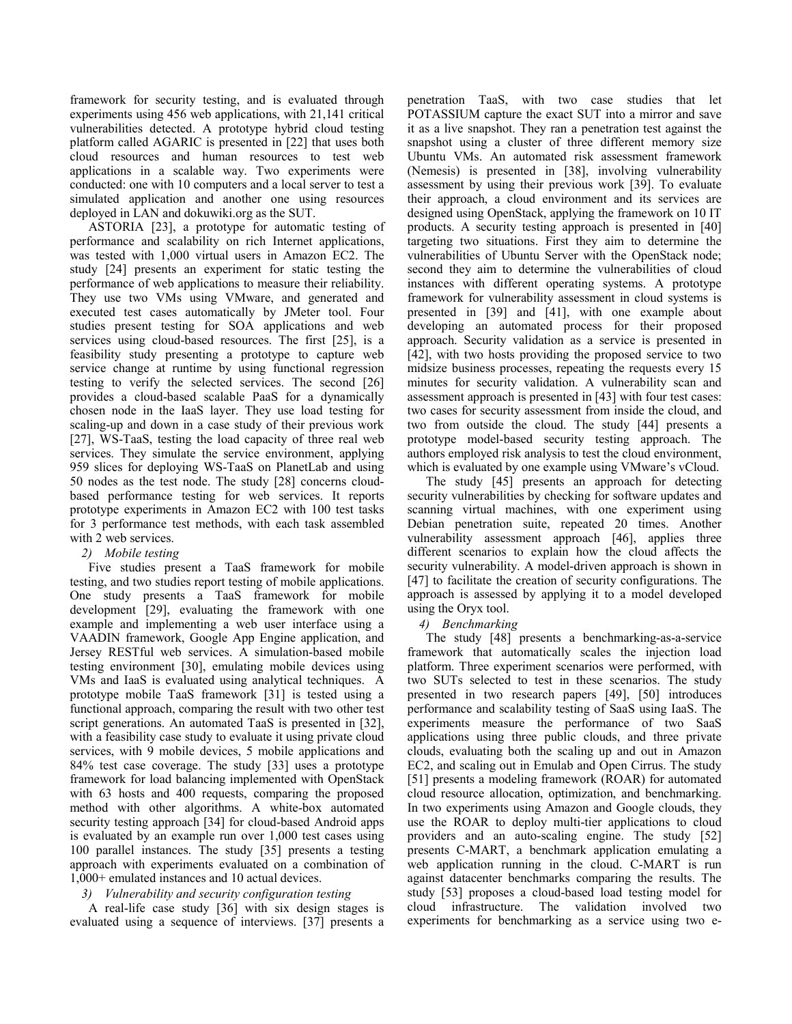framework for security testing, and is evaluated through experiments using 456 web applications, with 21,141 critical vulnerabilities detected. A prototype hybrid cloud testing platform called AGARIC is presented in [22] that uses both cloud resources and human resources to test web applications in a scalable way. Two experiments were conducted: one with 10 computers and a local server to test a simulated application and another one using resources deployed in LAN and dokuwiki.org as the SUT.

ASTORIA [23], a prototype for automatic testing of performance and scalability on rich Internet applications, was tested with 1,000 virtual users in Amazon EC2. The study [24] presents an experiment for static testing the performance of web applications to measure their reliability. They use two VMs using VMware, and generated and executed test cases automatically by JMeter tool. Four studies present testing for SOA applications and web services using cloud-based resources. The first [25], is a feasibility study presenting a prototype to capture web service change at runtime by using functional regression testing to verify the selected services. The second [26] provides a cloud-based scalable PaaS for a dynamically chosen node in the IaaS layer. They use load testing for scaling-up and down in a case study of their previous work [27], WS-TaaS, testing the load capacity of three real web services. They simulate the service environment, applying 959 slices for deploying WS-TaaS on PlanetLab and using 50 nodes as the test node. The study [28] concerns cloudbased performance testing for web services. It reports prototype experiments in Amazon EC2 with 100 test tasks for 3 performance test methods, with each task assembled with 2 web services.

## *2) Mobile testing*

Five studies present a TaaS framework for mobile testing, and two studies report testing of mobile applications. One study presents a TaaS framework for mobile development [29], evaluating the framework with one example and implementing a web user interface using a VAADIN framework, Google App Engine application, and Jersey RESTful web services. A simulation-based mobile testing environment [30], emulating mobile devices using VMs and IaaS is evaluated using analytical techniques. A prototype mobile TaaS framework [31] is tested using a functional approach, comparing the result with two other test script generations. An automated TaaS is presented in [32], with a feasibility case study to evaluate it using private cloud services, with 9 mobile devices, 5 mobile applications and 84% test case coverage. The study [33] uses a prototype framework for load balancing implemented with OpenStack with 63 hosts and 400 requests, comparing the proposed method with other algorithms. A white-box automated security testing approach [34] for cloud-based Android apps is evaluated by an example run over 1,000 test cases using 100 parallel instances. The study [35] presents a testing approach with experiments evaluated on a combination of 1,000+ emulated instances and 10 actual devices.

# *3) Vulnerability and security configuration testing*

A real-life case study [36] with six design stages is evaluated using a sequence of interviews. [37] presents a penetration TaaS, with two case studies that let POTASSIUM capture the exact SUT into a mirror and save it as a live snapshot. They ran a penetration test against the snapshot using a cluster of three different memory size Ubuntu VMs. An automated risk assessment framework (Nemesis) is presented in [38], involving vulnerability assessment by using their previous work [39]. To evaluate their approach, a cloud environment and its services are designed using OpenStack, applying the framework on 10 IT products. A security testing approach is presented in [40] targeting two situations. First they aim to determine the vulnerabilities of Ubuntu Server with the OpenStack node; second they aim to determine the vulnerabilities of cloud instances with different operating systems. A prototype framework for vulnerability assessment in cloud systems is presented in [39] and [41], with one example about developing an automated process for their proposed approach. Security validation as a service is presented in [42], with two hosts providing the proposed service to two midsize business processes, repeating the requests every 15 minutes for security validation. A vulnerability scan and assessment approach is presented in [43] with four test cases: two cases for security assessment from inside the cloud, and two from outside the cloud. The study [44] presents a prototype model-based security testing approach. The authors employed risk analysis to test the cloud environment, which is evaluated by one example using VMware's vCloud.

The study [45] presents an approach for detecting security vulnerabilities by checking for software updates and scanning virtual machines, with one experiment using Debian penetration suite, repeated 20 times. Another vulnerability assessment approach [46], applies three different scenarios to explain how the cloud affects the security vulnerability. A model-driven approach is shown in [47] to facilitate the creation of security configurations. The approach is assessed by applying it to a model developed using the Oryx tool.

# *4) Benchmarking*

The study [48] presents a benchmarking-as-a-service framework that automatically scales the injection load platform. Three experiment scenarios were performed, with two SUTs selected to test in these scenarios. The study presented in two research papers [49], [50] introduces performance and scalability testing of SaaS using IaaS. The experiments measure the performance of two SaaS applications using three public clouds, and three private clouds, evaluating both the scaling up and out in Amazon EC2, and scaling out in Emulab and Open Cirrus. The study [51] presents a modeling framework (ROAR) for automated cloud resource allocation, optimization, and benchmarking. In two experiments using Amazon and Google clouds, they use the ROAR to deploy multi-tier applications to cloud providers and an auto-scaling engine. The study [52] presents C-MART, a benchmark application emulating a web application running in the cloud. C-MART is run against datacenter benchmarks comparing the results. The study [53] proposes a cloud-based load testing model for cloud infrastructure. The validation involved two experiments for benchmarking as a service using two e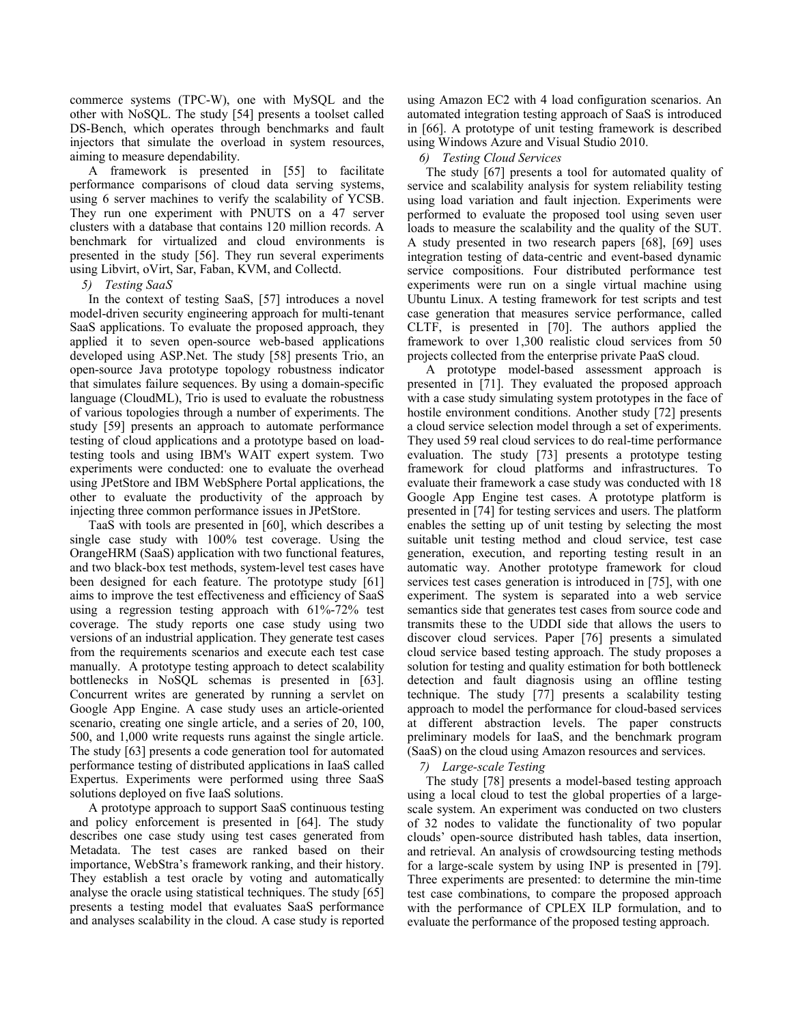commerce systems (TPC-W), one with MySQL and the other with NoSQL. The study [54] presents a toolset called DS-Bench, which operates through benchmarks and fault injectors that simulate the overload in system resources, aiming to measure dependability.

A framework is presented in [55] to facilitate performance comparisons of cloud data serving systems, using 6 server machines to verify the scalability of YCSB. They run one experiment with PNUTS on a 47 server clusters with a database that contains 120 million records. A benchmark for virtualized and cloud environments is presented in the study [56]. They run several experiments using Libvirt, oVirt, Sar, Faban, KVM, and Collectd.

#### *5) Testing SaaS*

In the context of testing SaaS, [57] introduces a novel model-driven security engineering approach for multi-tenant SaaS applications. To evaluate the proposed approach, they applied it to seven open-source web-based applications developed using ASP.Net. The study [58] presents Trio, an open-source Java prototype topology robustness indicator that simulates failure sequences. By using a domain-specific language (CloudML), Trio is used to evaluate the robustness of various topologies through a number of experiments. The study [59] presents an approach to automate performance testing of cloud applications and a prototype based on loadtesting tools and using IBM's WAIT expert system. Two experiments were conducted: one to evaluate the overhead using JPetStore and IBM WebSphere Portal applications, the other to evaluate the productivity of the approach by injecting three common performance issues in JPetStore.

TaaS with tools are presented in [60], which describes a single case study with 100% test coverage. Using the OrangeHRM (SaaS) application with two functional features, and two black-box test methods, system-level test cases have been designed for each feature. The prototype study [61] aims to improve the test effectiveness and efficiency of SaaS using a regression testing approach with 61%-72% test coverage. The study reports one case study using two versions of an industrial application. They generate test cases from the requirements scenarios and execute each test case manually. A prototype testing approach to detect scalability bottlenecks in NoSQL schemas is presented in [63]. Concurrent writes are generated by running a servlet on Google App Engine. A case study uses an article-oriented scenario, creating one single article, and a series of 20, 100, 500, and 1,000 write requests runs against the single article. The study [63] presents a code generation tool for automated performance testing of distributed applications in IaaS called Expertus. Experiments were performed using three SaaS solutions deployed on five IaaS solutions.

A prototype approach to support SaaS continuous testing and policy enforcement is presented in [64]. The study describes one case study using test cases generated from Metadata. The test cases are ranked based on their importance, WebStra's framework ranking, and their history. They establish a test oracle by voting and automatically analyse the oracle using statistical techniques. The study [65] presents a testing model that evaluates SaaS performance and analyses scalability in the cloud. A case study is reported

using Amazon EC2 with 4 load configuration scenarios. An automated integration testing approach of SaaS is introduced in [66]. A prototype of unit testing framework is described using Windows Azure and Visual Studio 2010.

#### *6) Testing Cloud Services*

The study [67] presents a tool for automated quality of service and scalability analysis for system reliability testing using load variation and fault injection. Experiments were performed to evaluate the proposed tool using seven user loads to measure the scalability and the quality of the SUT. A study presented in two research papers [68], [69] uses integration testing of data-centric and event-based dynamic service compositions. Four distributed performance test experiments were run on a single virtual machine using Ubuntu Linux. A testing framework for test scripts and test case generation that measures service performance, called CLTF, is presented in [70]. The authors applied the framework to over 1,300 realistic cloud services from 50 projects collected from the enterprise private PaaS cloud.

A prototype model-based assessment approach is presented in [71]. They evaluated the proposed approach with a case study simulating system prototypes in the face of hostile environment conditions. Another study [72] presents a cloud service selection model through a set of experiments. They used 59 real cloud services to do real-time performance evaluation. The study [73] presents a prototype testing framework for cloud platforms and infrastructures. To evaluate their framework a case study was conducted with 18 Google App Engine test cases. A prototype platform is presented in [74] for testing services and users. The platform enables the setting up of unit testing by selecting the most suitable unit testing method and cloud service, test case generation, execution, and reporting testing result in an automatic way. Another prototype framework for cloud services test cases generation is introduced in [75], with one experiment. The system is separated into a web service semantics side that generates test cases from source code and transmits these to the UDDI side that allows the users to discover cloud services. Paper [76] presents a simulated cloud service based testing approach. The study proposes a solution for testing and quality estimation for both bottleneck detection and fault diagnosis using an offline testing technique. The study [77] presents a scalability testing approach to model the performance for cloud-based services at different abstraction levels. The paper constructs preliminary models for IaaS, and the benchmark program (SaaS) on the cloud using Amazon resources and services.

*7) Large-scale Testing* 

The study [78] presents a model-based testing approach using a local cloud to test the global properties of a largescale system. An experiment was conducted on two clusters of 32 nodes to validate the functionality of two popular clouds' open-source distributed hash tables, data insertion, and retrieval. An analysis of crowdsourcing testing methods for a large-scale system by using INP is presented in [79]. Three experiments are presented: to determine the min-time test case combinations, to compare the proposed approach with the performance of CPLEX ILP formulation, and to evaluate the performance of the proposed testing approach.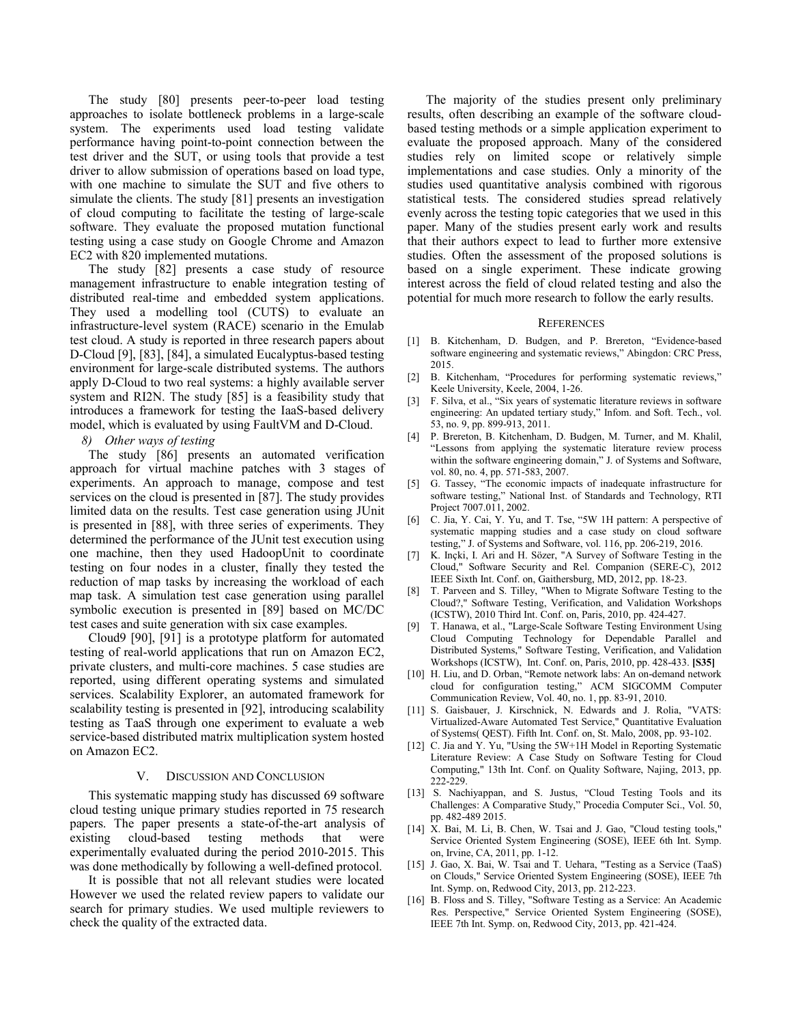The study [80] presents peer-to-peer load testing approaches to isolate bottleneck problems in a large-scale system. The experiments used load testing validate performance having point-to-point connection between the test driver and the SUT, or using tools that provide a test driver to allow submission of operations based on load type, with one machine to simulate the SUT and five others to simulate the clients. The study [81] presents an investigation of cloud computing to facilitate the testing of large-scale software. They evaluate the proposed mutation functional testing using a case study on Google Chrome and Amazon EC2 with 820 implemented mutations.

The study [82] presents a case study of resource management infrastructure to enable integration testing of distributed real-time and embedded system applications. They used a modelling tool (CUTS) to evaluate an infrastructure-level system (RACE) scenario in the Emulab test cloud. A study is reported in three research papers about D-Cloud [9], [83], [84], a simulated Eucalyptus-based testing environment for large-scale distributed systems. The authors apply D-Cloud to two real systems: a highly available server system and RI2N. The study [85] is a feasibility study that introduces a framework for testing the IaaS-based delivery model, which is evaluated by using FaultVM and D-Cloud.

## *8) Other ways of testing*

The study [86] presents an automated verification approach for virtual machine patches with 3 stages of experiments. An approach to manage, compose and test services on the cloud is presented in [87]. The study provides limited data on the results. Test case generation using JUnit is presented in [88], with three series of experiments. They determined the performance of the JUnit test execution using one machine, then they used HadoopUnit to coordinate testing on four nodes in a cluster, finally they tested the reduction of map tasks by increasing the workload of each map task. A simulation test case generation using parallel symbolic execution is presented in [89] based on MC/DC test cases and suite generation with six case examples.

Cloud9 [90], [91] is a prototype platform for automated testing of real-world applications that run on Amazon EC2, private clusters, and multi-core machines. 5 case studies are reported, using different operating systems and simulated services. Scalability Explorer, an automated framework for scalability testing is presented in [92], introducing scalability testing as TaaS through one experiment to evaluate a web service-based distributed matrix multiplication system hosted on Amazon EC2.

#### V. DISCUSSION AND CONCLUSION

This systematic mapping study has discussed 69 software cloud testing unique primary studies reported in 75 research papers. The paper presents a state-of-the-art analysis of existing cloud-based testing methods that were experimentally evaluated during the period 2010-2015. This was done methodically by following a well-defined protocol.

It is possible that not all relevant studies were located However we used the related review papers to validate our search for primary studies. We used multiple reviewers to check the quality of the extracted data.

The majority of the studies present only preliminary results, often describing an example of the software cloudbased testing methods or a simple application experiment to evaluate the proposed approach. Many of the considered studies rely on limited scope or relatively simple implementations and case studies. Only a minority of the studies used quantitative analysis combined with rigorous statistical tests. The considered studies spread relatively evenly across the testing topic categories that we used in this paper. Many of the studies present early work and results that their authors expect to lead to further more extensive studies. Often the assessment of the proposed solutions is based on a single experiment. These indicate growing interest across the field of cloud related testing and also the potential for much more research to follow the early results.

#### **REFERENCES**

- [1] B. Kitchenham, D. Budgen, and P. Brereton, "Evidence-based software engineering and systematic reviews," Abingdon: CRC Press, 2015.
- [2] B. Kitchenham, "Procedures for performing systematic reviews," Keele University, Keele, 2004, 1-26.
- [3] F. Silva, et al., "Six years of systematic literature reviews in software engineering: An updated tertiary study," Infom. and Soft. Tech., vol. 53, no. 9, pp. 899-913, 2011.
- [4] P. Brereton, B. Kitchenham, D. Budgen, M. Turner, and M. Khalil, "Lessons from applying the systematic literature review process within the software engineering domain," J. of Systems and Software, vol. 80, no. 4, pp. 571-583, 2007.
- [5] G. Tassey, "The economic impacts of inadequate infrastructure for software testing," National Inst. of Standards and Technology, RTI Project 7007.011, 2002.
- [6] C. Jia, Y. Cai, Y. Yu, and T. Tse, "5W 1H pattern: A perspective of systematic mapping studies and a case study on cloud software testing," J. of Systems and Software, vol. 116, pp. 206-219, 2016.
- [7] K. Inçki, I. Ari and H. Sözer, "A Survey of Software Testing in the Cloud," Software Security and Rel. Companion (SERE-C), 2012 IEEE Sixth Int. Conf. on, Gaithersburg, MD, 2012, pp. 18-23.
- [8] T. Parveen and S. Tilley, "When to Migrate Software Testing to the Cloud?," Software Testing, Verification, and Validation Workshops (ICSTW), 2010 Third Int. Conf. on, Paris, 2010, pp. 424-427.
- [9] T. Hanawa, et al., "Large-Scale Software Testing Environment Using Cloud Computing Technology for Dependable Parallel and Distributed Systems," Software Testing, Verification, and Validation Workshops (ICSTW), Int. Conf. on, Paris, 2010, pp. 428-433. **[S35]**
- [10] H. Liu, and D. Orban, "Remote network labs: An on-demand network cloud for configuration testing," ACM SIGCOMM Computer Communication Review, Vol. 40, no. 1, pp. 83-91, 2010.
- [11] S. Gaisbauer, J. Kirschnick, N. Edwards and J. Rolia, "VATS: Virtualized-Aware Automated Test Service," Quantitative Evaluation of Systems( QEST). Fifth Int. Conf. on, St. Malo, 2008, pp. 93-102.
- [12] C. Jia and Y. Yu, "Using the 5W+1H Model in Reporting Systematic Literature Review: A Case Study on Software Testing for Cloud Computing," 13th Int. Conf. on Quality Software, Najing, 2013, pp. 222-229.
- [13] S. Nachiyappan, and S. Justus, "Cloud Testing Tools and its Challenges: A Comparative Study," Procedia Computer Sci., Vol. 50, pp. 482-489 2015.
- [14] X. Bai, M. Li, B. Chen, W. Tsai and J. Gao, "Cloud testing tools," Service Oriented System Engineering (SOSE), IEEE 6th Int. Symp. on, Irvine, CA, 2011, pp. 1-12.
- [15] J. Gao, X. Bai, W. Tsai and T. Uehara, "Testing as a Service (TaaS) on Clouds," Service Oriented System Engineering (SOSE), IEEE 7th Int. Symp. on, Redwood City, 2013, pp. 212-223.
- [16] B. Floss and S. Tilley, "Software Testing as a Service: An Academic Res. Perspective," Service Oriented System Engineering (SOSE), IEEE 7th Int. Symp. on, Redwood City, 2013, pp. 421-424.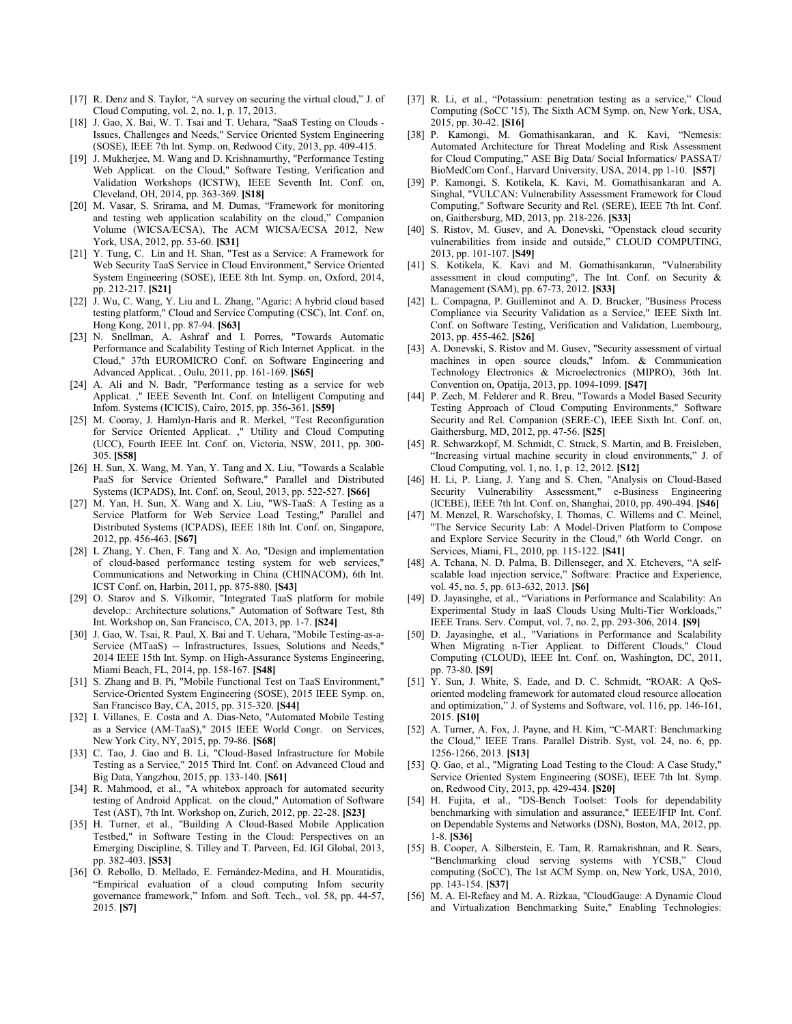- [17] R. Denz and S. Taylor, "A survey on securing the virtual cloud," J. of Cloud Computing, vol. 2, no. 1, p. 17, 2013.
- [18] J. Gao, X. Bai, W. T. Tsai and T. Uehara, "SaaS Testing on Clouds Issues, Challenges and Needs," Service Oriented System Engineering (SOSE), IEEE 7th Int. Symp. on, Redwood City, 2013, pp. 409-415.
- [19] J. Mukherjee, M. Wang and D. Krishnamurthy, "Performance Testing Web Applicat. on the Cloud," Software Testing, Verification and Validation Workshops (ICSTW), IEEE Seventh Int. Conf. on, Cleveland, OH, 2014, pp. 363-369. **[S18]**
- [20] M. Vasar, S. Srirama, and M. Dumas, "Framework for monitoring and testing web application scalability on the cloud," Companion Volume (WICSA/ECSA), The ACM WICSA/ECSA 2012, New York, USA, 2012, pp. 53-60. **[S31]**
- [21] Y. Tung, C. Lin and H. Shan, "Test as a Service: A Framework for Web Security TaaS Service in Cloud Environment," Service Oriented System Engineering (SOSE), IEEE 8th Int. Symp. on, Oxford, 2014, pp. 212-217. **[S21]**
- [22] J. Wu, C. Wang, Y. Liu and L. Zhang, "Agaric: A hybrid cloud based testing platform," Cloud and Service Computing (CSC), Int. Conf. on, Hong Kong, 2011, pp. 87-94. **[S63]**
- [23] N. Snellman, A. Ashraf and I. Porres, "Towards Automatic Performance and Scalability Testing of Rich Internet Applicat. in the Cloud," 37th EUROMICRO Conf. on Software Engineering and Advanced Applicat. , Oulu, 2011, pp. 161-169. **[S65]**
- [24] A. Ali and N. Badr, "Performance testing as a service for web Applicat. ," IEEE Seventh Int. Conf. on Intelligent Computing and Infom. Systems (ICICIS), Cairo, 2015, pp. 356-361. **[S59]**
- [25] M. Cooray, J. Hamlyn-Haris and R. Merkel, "Test Reconfiguration for Service Oriented Applicat. ," Utility and Cloud Computing (UCC), Fourth IEEE Int. Conf. on, Victoria, NSW, 2011, pp. 300- 305. **[S58]**
- [26] H. Sun, X. Wang, M. Yan, Y. Tang and X. Liu, "Towards a Scalable PaaS for Service Oriented Software," Parallel and Distributed Systems (ICPADS), Int. Conf. on, Seoul, 2013, pp. 522-527. **[S66]**
- [27] M. Yan, H. Sun, X. Wang and X. Liu, "WS-TaaS: A Testing as a Service Platform for Web Service Load Testing," Parallel and Distributed Systems (ICPADS), IEEE 18th Int. Conf. on, Singapore, 2012, pp. 456-463. **[S67]**
- [28] L Zhang, Y. Chen, F. Tang and X. Ao, "Design and implementation of cloud-based performance testing system for web services," Communications and Networking in China (CHINACOM), 6th Int. ICST Conf. on, Harbin, 2011, pp. 875-880. **[S43]**
- [29] O. Starov and S. Vilkomir, "Integrated TaaS platform for mobile develop.: Architecture solutions," Automation of Software Test, 8th Int. Workshop on, San Francisco, CA, 2013, pp. 1-7. **[S24]**
- [30] J. Gao, W. Tsai, R. Paul, X. Bai and T. Uehara, "Mobile Testing-as-a-Service (MTaaS) -- Infrastructures, Issues, Solutions and Needs," 2014 IEEE 15th Int. Symp. on High-Assurance Systems Engineering, Miami Beach, FL, 2014, pp. 158-167. **[S48]**
- [31] S. Zhang and B. Pi, "Mobile Functional Test on TaaS Environment," Service-Oriented System Engineering (SOSE), 2015 IEEE Symp. on, San Francisco Bay, CA, 2015, pp. 315-320. **[S44]**
- [32] I. Villanes, E. Costa and A. Dias-Neto, "Automated Mobile Testing as a Service (AM-TaaS)," 2015 IEEE World Congr. on Services, New York City, NY, 2015, pp. 79-86. **[S68]**
- [33] C. Tao, J. Gao and B. Li, "Cloud-Based Infrastructure for Mobile Testing as a Service," 2015 Third Int. Conf. on Advanced Cloud and Big Data, Yangzhou, 2015, pp. 133-140. **[S61]**
- [34] R. Mahmood, et al., "A whitebox approach for automated security testing of Android Applicat. on the cloud," Automation of Software Test (AST), 7th Int. Workshop on, Zurich, 2012, pp. 22-28. **[S23]**
- [35] H. Turner, et al., "Building A Cloud-Based Mobile Application Testbed," in Software Testing in the Cloud: Perspectives on an Emerging Discipline, S. Tilley and T. Parveen, Ed. IGI Global, 2013, pp. 382-403. **[S53]**
- [36] O. Rebollo, D. Mellado, E. Fernández-Medina, and H. Mouratidis, "Empirical evaluation of a cloud computing Infom security governance framework," Infom. and Soft. Tech., vol. 58, pp. 44-57, 2015. **[S7]**
- [37] R. Li, et al., "Potassium: penetration testing as a service," Cloud Computing (SoCC '15), The Sixth ACM Symp. on, New York, USA, 2015, pp. 30-42. **[S16]**
- [38] P. Kamongi, M. Gomathisankaran, and K. Kavi, "Nemesis: Automated Architecture for Threat Modeling and Risk Assessment for Cloud Computing," ASE Big Data/ Social Informatics/ PASSAT/ BioMedCom Conf., Harvard University, USA, 2014, pp 1-10. **[S57]**
- [39] P. Kamongi, S. Kotikela, K. Kavi, M. Gomathisankaran and A. Singhal, "VULCAN: Vulnerability Assessment Framework for Cloud Computing," Software Security and Rel. (SERE), IEEE 7th Int. Conf. on, Gaithersburg, MD, 2013, pp. 218-226. **[S33]**
- [40] S. Ristov, M. Gusev, and A. Donevski, "Openstack cloud security vulnerabilities from inside and outside," CLOUD COMPUTING, 2013, pp. 101-107. **[S49]**
- [41] S. Kotikela, K. Kavi and M. Gomathisankaran, "Vulnerability assessment in cloud computing", The Int. Conf. on Security & Management (SAM), pp. 67-73, 2012. **[S33]**
- [42] L. Compagna, P. Guilleminot and A. D. Brucker, "Business Process Compliance via Security Validation as a Service," IEEE Sixth Int. Conf. on Software Testing, Verification and Validation, Luembourg, 2013, pp. 455-462. **[S26]**
- [43] A. Donevski, S. Ristov and M. Gusev, "Security assessment of virtual machines in open source clouds," Infom. & Communication Technology Electronics & Microelectronics (MIPRO), 36th Int. Convention on, Opatija, 2013, pp. 1094-1099. **[S47]**
- [44] P. Zech, M. Felderer and R. Breu, "Towards a Model Based Security Testing Approach of Cloud Computing Environments," Software Security and Rel. Companion (SERE-C), IEEE Sixth Int. Conf. on, Gaithersburg, MD, 2012, pp. 47-56. **[S25]**
- [45] R. Schwarzkopf, M. Schmidt, C. Strack, S. Martin, and B. Freisleben, "Increasing virtual machine security in cloud environments," J. of Cloud Computing, vol. 1, no. 1, p. 12, 2012. **[S12]**
- [46] H. Li, P. Liang, J. Yang and S. Chen, "Analysis on Cloud-Based Security Vulnerability Assessment," e-Business Engineering (ICEBE), IEEE 7th Int. Conf. on, Shanghai, 2010, pp. 490-494. **[S46]**
- [47] M. Menzel, R. Warschofsky, I. Thomas, C. Willems and C. Meinel, "The Service Security Lab: A Model-Driven Platform to Compose and Explore Service Security in the Cloud," 6th World Congr. on Services, Miami, FL, 2010, pp. 115-122. **[S41]**
- [48] A. Tchana, N. D. Palma, B. Dillenseger, and X. Etchevers, "A selfscalable load injection service," Software: Practice and Experience, vol. 45, no. 5, pp. 613-632, 2013. **[S6]**
- [49] D. Jayasinghe, et al., "Variations in Performance and Scalability: An Experimental Study in IaaS Clouds Using Multi-Tier Workloads," IEEE Trans. Serv. Comput, vol. 7, no. 2, pp. 293-306, 2014. **[S9]**
- [50] D. Jayasinghe, et al., "Variations in Performance and Scalability When Migrating n-Tier Applicat. to Different Clouds," Cloud Computing (CLOUD), IEEE Int. Conf. on, Washington, DC, 2011, pp. 73-80. **[S9]**
- [51] Y. Sun, J. White, S. Eade, and D. C. Schmidt, "ROAR: A QoSoriented modeling framework for automated cloud resource allocation and optimization," J. of Systems and Software, vol. 116, pp. 146-161, 2015. **[S10]**
- [52] A. Turner, A. Fox, J. Payne, and H. Kim, "C-MART: Benchmarking the Cloud," IEEE Trans. Parallel Distrib. Syst, vol. 24, no. 6, pp. 1256-1266, 2013. **[S13]**
- [53] O. Gao, et al., "Migrating Load Testing to the Cloud: A Case Study," Service Oriented System Engineering (SOSE), IEEE 7th Int. Symp. on, Redwood City, 2013, pp. 429-434. **[S20]**
- [54] H. Fujita, et al., "DS-Bench Toolset: Tools for dependability benchmarking with simulation and assurance," IEEE/IFIP Int. Conf. on Dependable Systems and Networks (DSN), Boston, MA, 2012, pp. 1-8. **[S36]**
- [55] B. Cooper, A. Silberstein, E. Tam, R. Ramakrishnan, and R. Sears, "Benchmarking cloud serving systems with YCSB," Cloud computing (SoCC), The 1st ACM Symp. on, New York, USA, 2010, pp. 143-154. **[S37]**
- [56] M. A. El-Refaey and M. A. Rizkaa, "CloudGauge: A Dynamic Cloud and Virtualization Benchmarking Suite," Enabling Technologies: